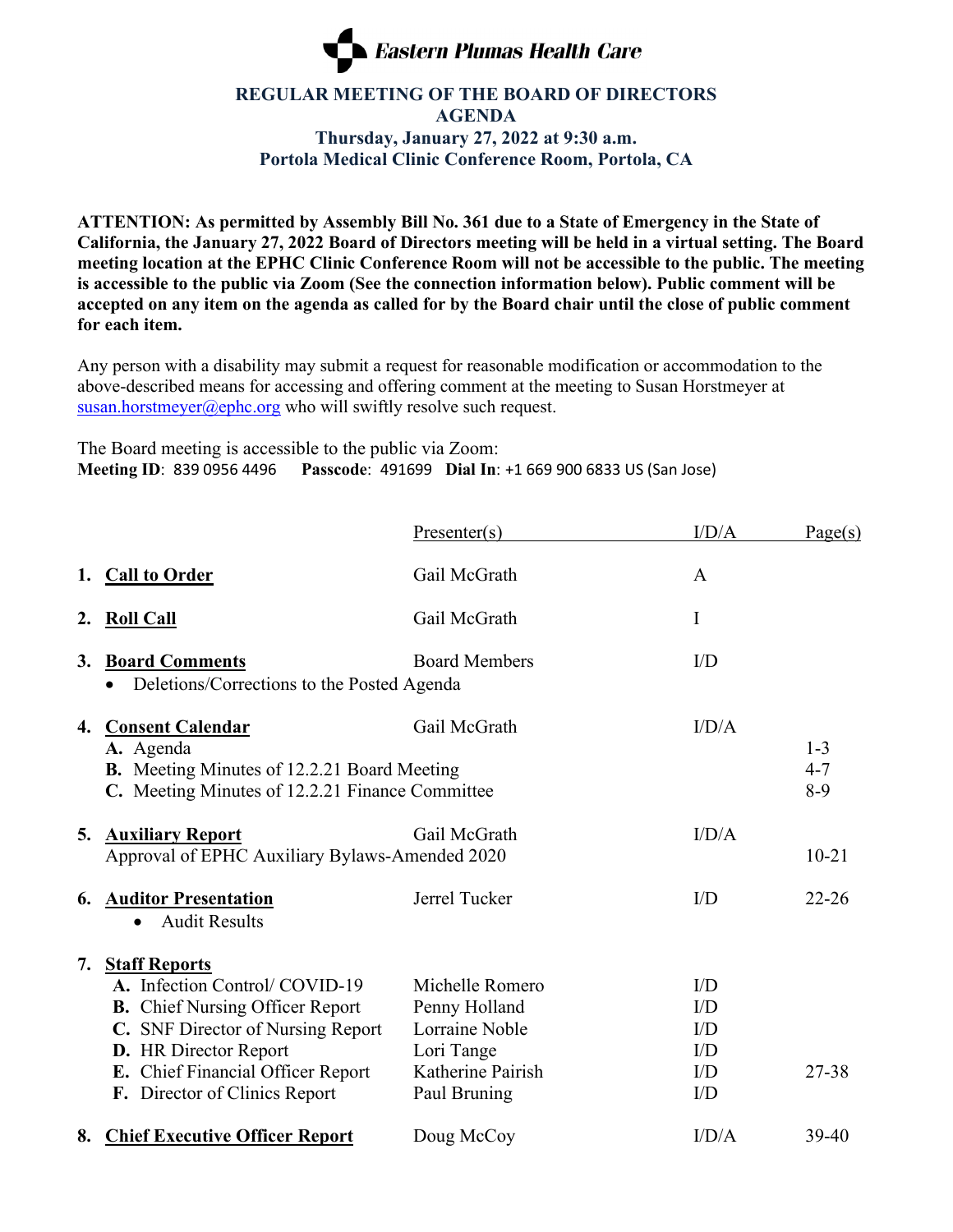

## **REGULAR MEETING OF THE BOARD OF DIRECTORS AGENDA Thursday, January 27, 2022 at 9:30 a.m. Portola Medical Clinic Conference Room, Portola, CA**

**ATTENTION: As permitted by Assembly Bill No. 361 due to a State of Emergency in the State of California, the January 27, 2022 Board of Directors meeting will be held in a virtual setting. The Board meeting location at the EPHC Clinic Conference Room will not be accessible to the public. The meeting is accessible to the public via Zoom (See the connection information below). Public comment will be accepted on any item on the agenda as called for by the Board chair until the close of public comment for each item.**

Any person with a disability may submit a request for reasonable modification or accommodation to the above-described means for accessing and offering comment at the meeting to Susan Horstmeyer at [susan.horstmeyer@ephc.org](mailto:susan.horstmeyer@ephc.org) who will swiftly resolve such request.

The Board meeting is accessible to the public via Zoom: **Meeting ID**: 839 0956 4496 **Passcode**: 491699 **Dial In**: +1 669 900 6833 US (San Jose)

|    |                                                                                                                                                                                                                                     | Presenter(s)                                                                                          | I/D/A                                        | Page(s)                     |
|----|-------------------------------------------------------------------------------------------------------------------------------------------------------------------------------------------------------------------------------------|-------------------------------------------------------------------------------------------------------|----------------------------------------------|-----------------------------|
|    | 1. Call to Order                                                                                                                                                                                                                    | Gail McGrath                                                                                          | A                                            |                             |
| 2. | <b>Roll Call</b>                                                                                                                                                                                                                    | Gail McGrath                                                                                          | I                                            |                             |
| 3. | <b>Board Comments</b><br>Deletions/Corrections to the Posted Agenda                                                                                                                                                                 | <b>Board Members</b>                                                                                  | I/D                                          |                             |
| 4. | <b>Consent Calendar</b><br>A. Agenda<br>B. Meeting Minutes of 12.2.21 Board Meeting<br>C. Meeting Minutes of 12.2.21 Finance Committee                                                                                              | Gail McGrath                                                                                          | I/D/A                                        | $1 - 3$<br>$4 - 7$<br>$8-9$ |
| 5. | <b>Auxiliary Report</b><br>Approval of EPHC Auxiliary Bylaws-Amended 2020                                                                                                                                                           | Gail McGrath                                                                                          | I/D/A                                        | $10 - 21$                   |
| 6. | <b>Auditor Presentation</b><br><b>Audit Results</b><br>$\bullet$                                                                                                                                                                    | Jerrel Tucker                                                                                         | I/D                                          | $22 - 26$                   |
| 7. | <b>Staff Reports</b><br>A. Infection Control/COVID-19<br><b>B.</b> Chief Nursing Officer Report<br>C. SNF Director of Nursing Report<br>D. HR Director Report<br>E. Chief Financial Officer Report<br>F. Director of Clinics Report | Michelle Romero<br>Penny Holland<br>Lorraine Noble<br>Lori Tange<br>Katherine Pairish<br>Paul Bruning | I/D<br>I/D<br>I/D<br>I/D<br>I/D<br>$\rm I/D$ | 27-38                       |
|    | 8. Chief Executive Officer Report                                                                                                                                                                                                   | Doug McCoy                                                                                            | I/D/A                                        | 39-40                       |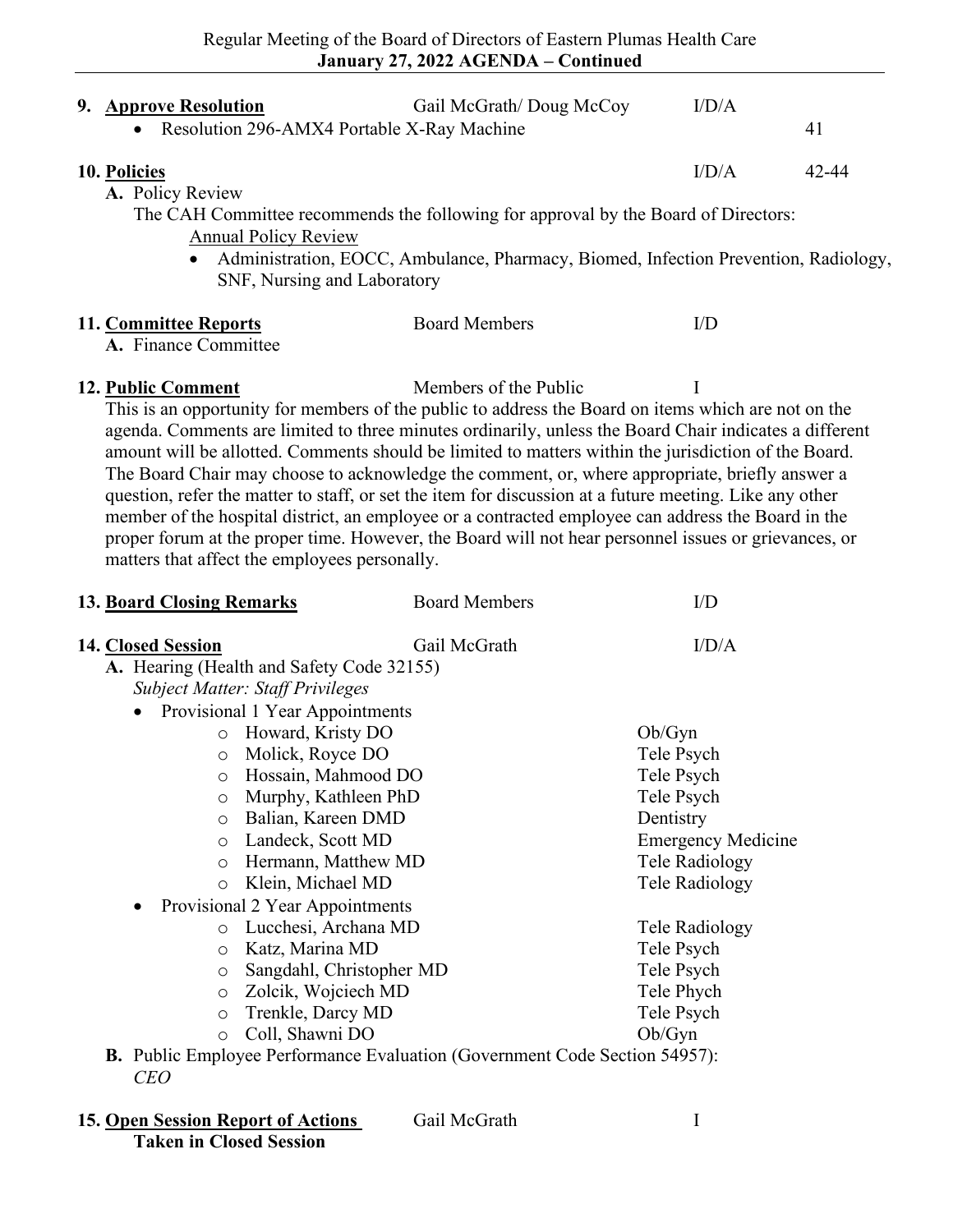| 9. Approve Resolution<br>• Resolution 296-AMX4 Portable X-Ray Machine                                                                                                                                                                                                                                                                                                                                                                                                                                                                                                                                                                                                                                                                                                                                                                                 | Gail McGrath/ Doug McCoy                                                            | I/D/A                                                                                                                                                                                                                              | 41    |  |  |  |
|-------------------------------------------------------------------------------------------------------------------------------------------------------------------------------------------------------------------------------------------------------------------------------------------------------------------------------------------------------------------------------------------------------------------------------------------------------------------------------------------------------------------------------------------------------------------------------------------------------------------------------------------------------------------------------------------------------------------------------------------------------------------------------------------------------------------------------------------------------|-------------------------------------------------------------------------------------|------------------------------------------------------------------------------------------------------------------------------------------------------------------------------------------------------------------------------------|-------|--|--|--|
| 10. Policies<br>A. Policy Review<br>The CAH Committee recommends the following for approval by the Board of Directors:<br><b>Annual Policy Review</b><br>SNF, Nursing and Laboratory                                                                                                                                                                                                                                                                                                                                                                                                                                                                                                                                                                                                                                                                  | Administration, EOCC, Ambulance, Pharmacy, Biomed, Infection Prevention, Radiology, | I/D/A                                                                                                                                                                                                                              | 42-44 |  |  |  |
| 11. Committee Reports<br>A. Finance Committee                                                                                                                                                                                                                                                                                                                                                                                                                                                                                                                                                                                                                                                                                                                                                                                                         | <b>Board Members</b>                                                                | I/D                                                                                                                                                                                                                                |       |  |  |  |
| Members of the Public<br>12. Public Comment<br>I<br>This is an opportunity for members of the public to address the Board on items which are not on the<br>agenda. Comments are limited to three minutes ordinarily, unless the Board Chair indicates a different<br>amount will be allotted. Comments should be limited to matters within the jurisdiction of the Board.<br>The Board Chair may choose to acknowledge the comment, or, where appropriate, briefly answer a<br>question, refer the matter to staff, or set the item for discussion at a future meeting. Like any other<br>member of the hospital district, an employee or a contracted employee can address the Board in the<br>proper forum at the proper time. However, the Board will not hear personnel issues or grievances, or<br>matters that affect the employees personally. |                                                                                     |                                                                                                                                                                                                                                    |       |  |  |  |
| <b>13. Board Closing Remarks</b>                                                                                                                                                                                                                                                                                                                                                                                                                                                                                                                                                                                                                                                                                                                                                                                                                      | <b>Board Members</b>                                                                | I/D                                                                                                                                                                                                                                |       |  |  |  |
| 14. Closed Session<br>A. Hearing (Health and Safety Code 32155)<br><b>Subject Matter: Staff Privileges</b><br>Provisional 1 Year Appointments<br>o Howard, Kristy DO<br>Molick, Royce DO<br>$\circ$<br>o Hossain, Mahmood DO<br>Murphy, Kathleen PhD<br>O<br>Balian, Kareen DMD<br>O<br>Landeck, Scott MD<br>O<br>Hermann, Matthew MD<br>$\circ$<br>Klein, Michael MD<br>$\circ$<br>Provisional 2 Year Appointments<br>Lucchesi, Archana MD<br>$\circ$<br>Katz, Marina MD<br>O<br>Sangdahl, Christopher MD<br>O<br>Zolcik, Wojciech MD<br>O<br>Trenkle, Darcy MD<br>O<br>Coll, Shawni DO<br>O                                                                                                                                                                                                                                                         | Gail McGrath                                                                        | I/D/A<br>Ob/Gyn<br>Tele Psych<br>Tele Psych<br>Tele Psych<br>Dentistry<br><b>Emergency Medicine</b><br>Tele Radiology<br><b>Tele Radiology</b><br>Tele Radiology<br>Tele Psych<br>Tele Psych<br>Tele Phych<br>Tele Psych<br>Ob/Gyn |       |  |  |  |
| <b>B.</b> Public Employee Performance Evaluation (Government Code Section 54957):<br><b>CEO</b>                                                                                                                                                                                                                                                                                                                                                                                                                                                                                                                                                                                                                                                                                                                                                       |                                                                                     |                                                                                                                                                                                                                                    |       |  |  |  |

**<sup>15.</sup> Open Session Report of Actions** Gail McGrath I **Taken in Closed Session**